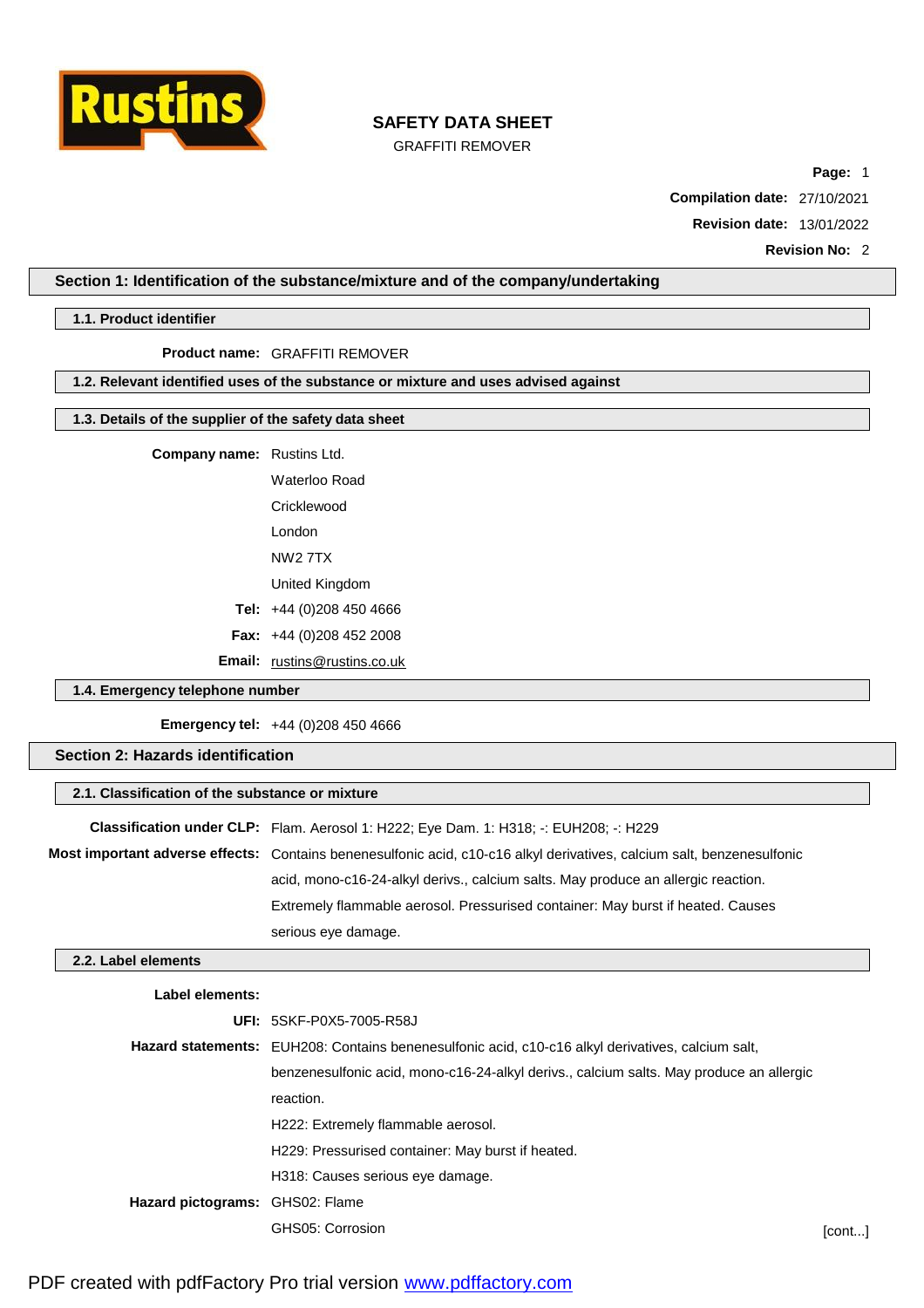

## GRAFFITI REMOVER

**Page:** 1

**Compilation date:** 27/10/2021 **Revision date:** 13/01/2022

**Revision No:** 2

#### **Section 1: Identification of the substance/mixture and of the company/undertaking**

#### **1.1. Product identifier**

**Product name:** GRAFFITI REMOVER

## **1.2. Relevant identified uses of the substance or mixture and uses advised against**

## **1.3. Details of the supplier of the safety data sheet**

**Company name:** Rustins Ltd.

Waterloo Road Cricklewood London NW2 7TX United Kingdom **Tel:** +44 (0)208 450 4666 **Fax:** +44 (0)208 452 2008 **Email:** [rustins@rustins.co.uk](mailto:rustins@rustins.co.uk)

**1.4. Emergency telephone number**

**Emergency tel:** +44 (0)208 450 4666

## **Section 2: Hazards identification**

| 2.1. Classification of the substance or mixture |                                                                                                                        |  |
|-------------------------------------------------|------------------------------------------------------------------------------------------------------------------------|--|
|                                                 | Classification under CLP: Flam. Aerosol 1: H222; Eye Dam. 1: H318; -: EUH208; -: H229                                  |  |
|                                                 | Most important adverse effects: Contains benenesulfonic acid, c10-c16 alkyl derivatives, calcium salt, benzenesulfonic |  |
|                                                 | acid, mono-c16-24-alkyl derivs., calcium salts. May produce an allergic reaction.                                      |  |
|                                                 | Extremely flammable aerosol. Pressurised container: May burst if heated. Causes                                        |  |
|                                                 | serious eye damage.                                                                                                    |  |
| 2.2. Label elements                             |                                                                                                                        |  |

| Label elements:                 |                                                                                                   |        |
|---------------------------------|---------------------------------------------------------------------------------------------------|--------|
|                                 | <b>UFI: 5SKF-P0X5-7005-R58J</b>                                                                   |        |
|                                 | Hazard statements: EUH208: Contains benenesulfonic acid, c10-c16 alkyl derivatives, calcium salt, |        |
|                                 | benzenesulfonic acid, mono-c16-24-alkyl derivs., calcium salts. May produce an allergic           |        |
|                                 | reaction.                                                                                         |        |
|                                 | H222: Extremely flammable aerosol.                                                                |        |
|                                 | H229: Pressurised container: May burst if heated.                                                 |        |
|                                 | H318: Causes serious eye damage.                                                                  |        |
| Hazard pictograms: GHS02: Flame |                                                                                                   |        |
|                                 | GHS05: Corrosion                                                                                  | [cont] |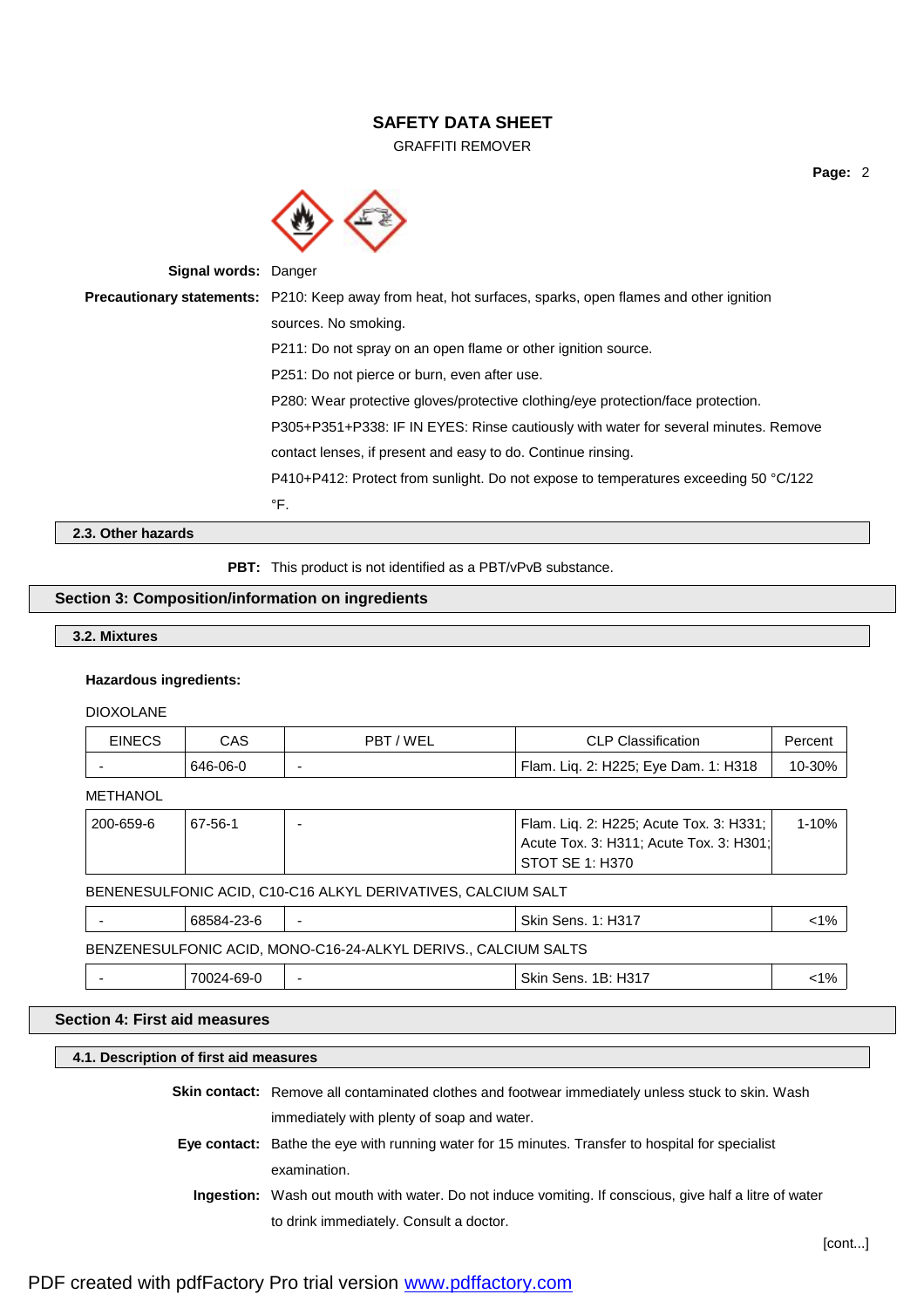#### GRAFFITI REMOVER

**Page:** 2



**Signal words:** Danger **Precautionary statements:** P210: Keep away from heat, hot surfaces, sparks, open flames and other ignition sources. No smoking. P211: Do not spray on an open flame or other ignition source. P251: Do not pierce or burn, even after use. P280: Wear protective gloves/protective clothing/eye protection/face protection. P305+P351+P338: IF IN EYES: Rinse cautiously with water for several minutes. Remove contact lenses, if present and easy to do. Continue rinsing. P410+P412: Protect from sunlight. Do not expose to temperatures exceeding 50 °C/122 °F. **2.3. Other hazards**

**PBT:** This product is not identified as a PBT/vPvB substance.

## **Section 3: Composition/information on ingredients**

#### **3.2. Mixtures**

#### **Hazardous ingredients:**

DIOXOLANE

| <b>EINECS</b> | CAS      | / WEL<br>PBT | <b>CLP Classification</b>                         | Percent |
|---------------|----------|--------------|---------------------------------------------------|---------|
|               | 646-06-0 |              | <sup>1</sup> Flam. Liq. 2: H225; Eye Dam. 1: H318 | 10-30%  |

## **METHANOL**

| 200-659-6                                                      | 67-56-1    |                                                              | Flam. Liq. 2: H225; Acute Tox. 3: H331;<br>Acute Tox. 3: H311; Acute Tox. 3: H301;<br>STOT SE 1: H370 |       |
|----------------------------------------------------------------|------------|--------------------------------------------------------------|-------------------------------------------------------------------------------------------------------|-------|
|                                                                |            | BENENESULFONIC ACID, C10-C16 ALKYL DERIVATIVES, CALCIUM SALT |                                                                                                       |       |
|                                                                | 68584-23-6 |                                                              | <b>Skin Sens. 1: H317</b>                                                                             | $1\%$ |
| BENZENESULFONIC ACID, MONO-C16-24-ALKYL DERIVS., CALCIUM SALTS |            |                                                              |                                                                                                       |       |

## - 70024-69-0 - Skin Sens. 1B: H317 <1%

## **Section 4: First aid measures**

## **4.1. Description of first aid measures**

| <b>Skin contact:</b> Remove all contaminated clothes and footwear immediately unless stuck to skin. Wash |
|----------------------------------------------------------------------------------------------------------|
| immediately with plenty of soap and water.                                                               |
|                                                                                                          |

- **Eye contact:** Bathe the eye with running water for 15 minutes. Transfer to hospital for specialist examination.
	- **Ingestion:** Wash out mouth with water. Do not induce vomiting. If conscious, give half a litre of water to drink immediately. Consult a doctor.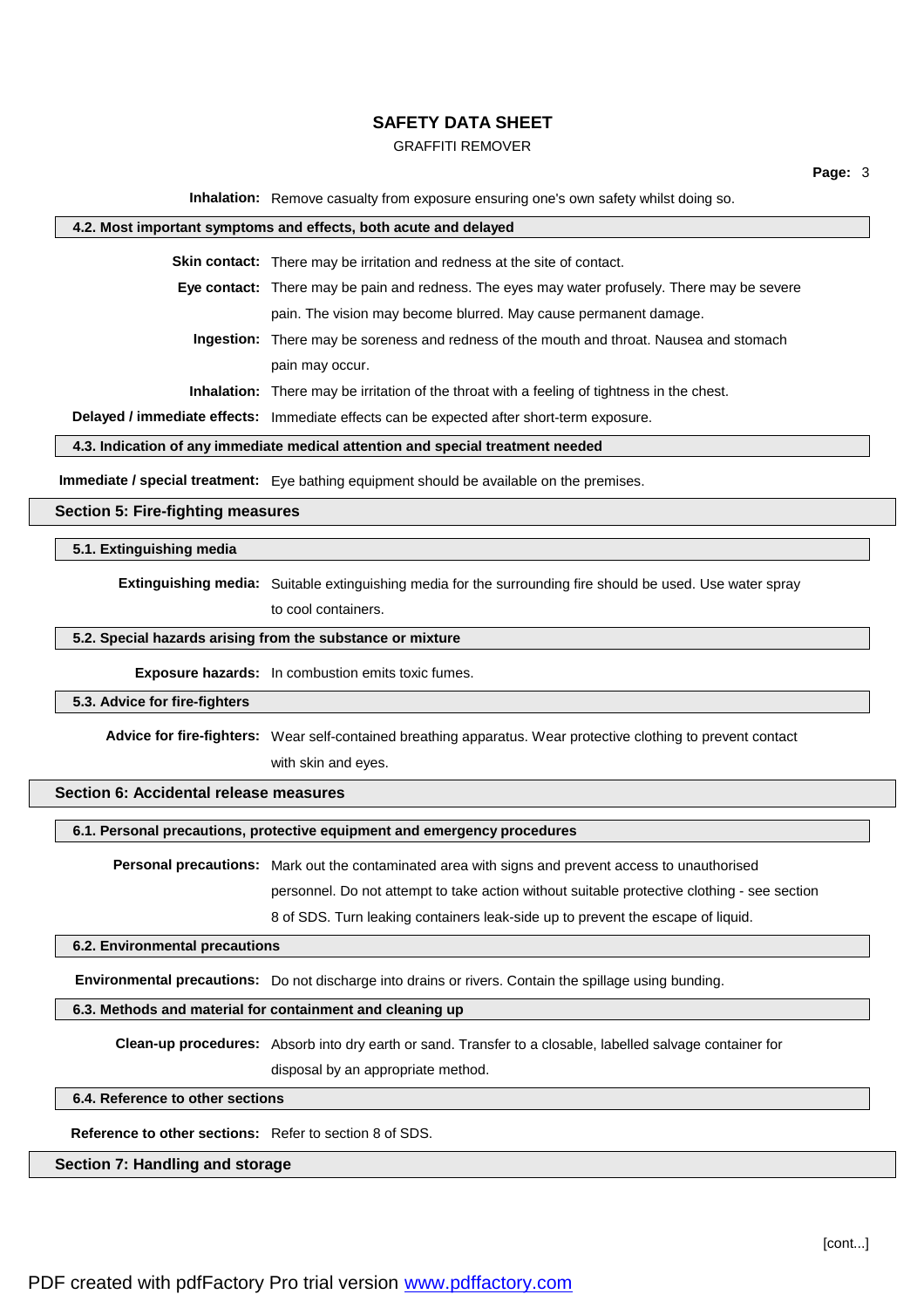## GRAFFITI REMOVER

# **Inhalation:** Remove casualty from exposure ensuring one's own safety whilst doing so. **4.2. Most important symptoms and effects, both acute and delayed Skin contact:** There may be irritation and redness at the site of contact. **Eye contact:** There may be pain and redness. The eyes may water profusely. There may be severe pain. The vision may become blurred. May cause permanent damage. **Ingestion:** There may be soreness and redness of the mouth and throat. Nausea and stomach pain may occur. **Inhalation:** There may be irritation of the throat with a feeling of tightness in the chest. **Delayed / immediate effects:** Immediate effects can be expected after short-term exposure. **4.3. Indication of any immediate medical attention and special treatment needed Immediate / special treatment:** Eye bathing equipment should be available on the premises. **Section 5: Fire-fighting measures 5.1. Extinguishing media**

**Extinguishing media:** Suitable extinguishing media for the surrounding fire should be used. Use water spray

to cool containers.

#### **5.2. Special hazards arising from the substance or mixture**

**Exposure hazards:** In combustion emits toxic fumes.

#### **5.3. Advice for fire-fighters**

**Advice for fire-fighters:** Wear self-contained breathing apparatus. Wear protective clothing to prevent contact with skin and eyes.

#### **Section 6: Accidental release measures**

#### **6.1. Personal precautions, protective equipment and emergency procedures**

**Personal precautions:** Mark out the contaminated area with signs and prevent access to unauthorised personnel. Do not attempt to take action without suitable protective clothing - see section

8 of SDS. Turn leaking containers leak-side up to prevent the escape of liquid.

#### **6.2. Environmental precautions**

**Environmental precautions:** Do not discharge into drains or rivers. Contain the spillage using bunding.

## **6.3. Methods and material for containment and cleaning up**

**Clean-up procedures:** Absorb into dry earth or sand. Transfer to a closable, labelled salvage container for

disposal by an appropriate method.

#### **6.4. Reference to other sections**

**Reference to other sections:** Refer to section 8 of SDS.

## **Section 7: Handling and storage**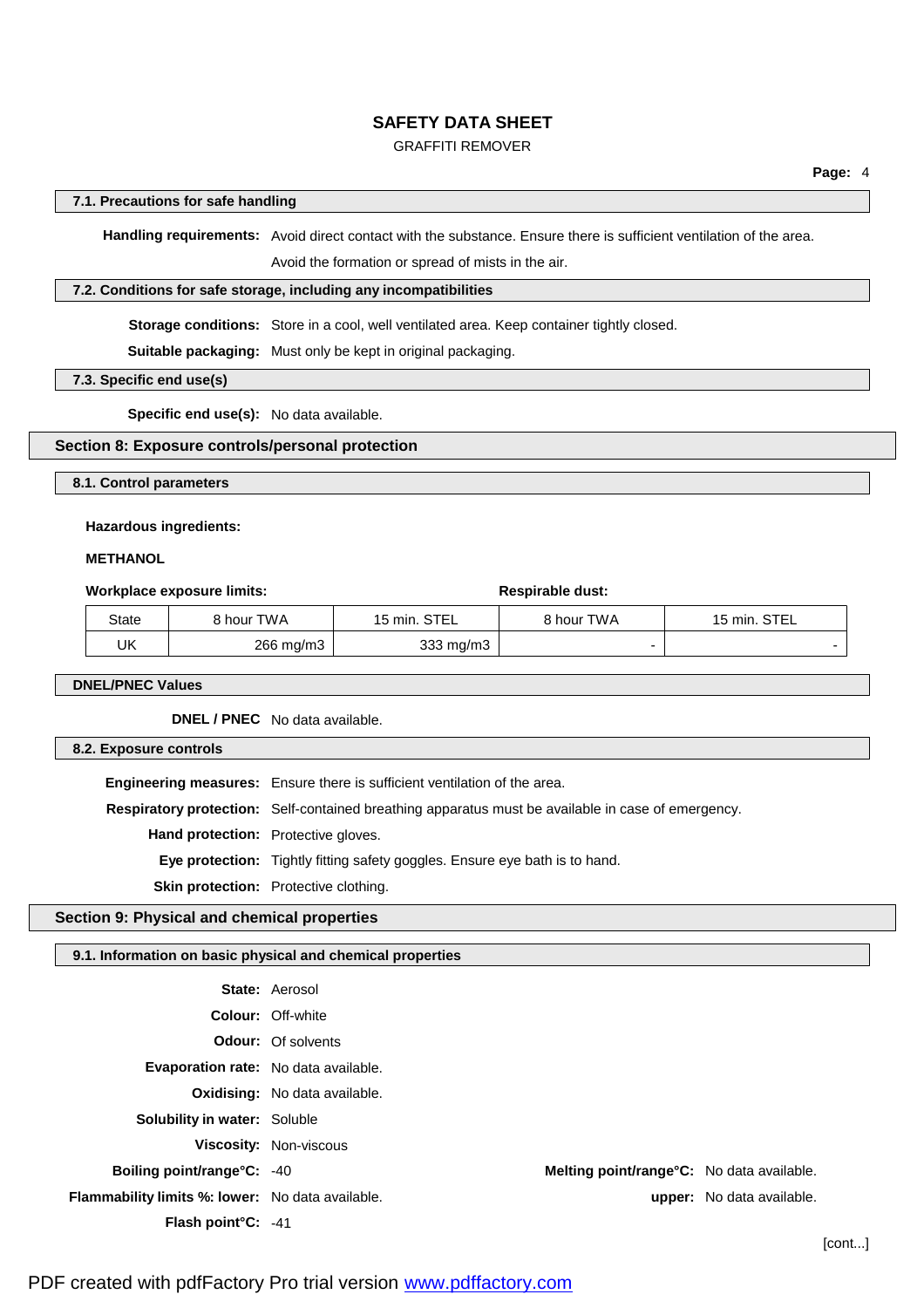## GRAFFITI REMOVER

#### **7.1. Precautions for safe handling**

**Handling requirements:** Avoid direct contact with the substance. Ensure there is sufficient ventilation of the area.

Avoid the formation or spread of mists in the air.

#### **7.2. Conditions for safe storage, including any incompatibilities**

**Storage conditions:** Store in a cool, well ventilated area. Keep container tightly closed.

**Suitable packaging:** Must only be kept in original packaging.

#### **7.3. Specific end use(s)**

**Specific end use(s):** No data available.

## **Section 8: Exposure controls/personal protection**

**8.1. Control parameters**

#### **Hazardous ingredients:**

#### **METHANOL**

| Workplace exposure limits: |            |                    | Respirable dust: |              |
|----------------------------|------------|--------------------|------------------|--------------|
| State                      | 8 hour TWA | 15 min. STEL       | 8 hour TWA       | 15 min. STEL |
| UΚ                         | 266 mg/m3  | $333 \text{ mg/m}$ |                  |              |

#### **DNEL/PNEC Values**

**DNEL / PNEC** No data available.

#### **8.2. Exposure controls**

**Engineering measures:** Ensure there is sufficient ventilation of the area. **Respiratory protection:** Self-contained breathing apparatus must be available in case of emergency. **Hand protection:** Protective gloves. **Eye protection:** Tightly fitting safety goggles. Ensure eye bath is to hand. **Skin protection:** Protective clothing.

#### **Section 9: Physical and chemical properties**

#### **9.1. Information on basic physical and chemical properties**

|                                                         | <b>State: Aerosol</b>                     |                                  |
|---------------------------------------------------------|-------------------------------------------|----------------------------------|
|                                                         | <b>Colour: Off-white</b>                  |                                  |
|                                                         | <b>Odour:</b> Of solvents                 |                                  |
| <b>Evaporation rate:</b> No data available.             |                                           |                                  |
|                                                         | <b>Oxidising:</b> No data available.      |                                  |
| <b>Solubility in water: Soluble</b>                     |                                           |                                  |
|                                                         | Viscosity: Non-viscous                    |                                  |
| <b>Boiling point/range°C:</b> -40                       | Melting point/range°C: No data available. |                                  |
| <b>Flammability limits %: lower:</b> No data available. |                                           | <b>upper:</b> No data available. |
| <b>Flash point C: -41</b>                               |                                           |                                  |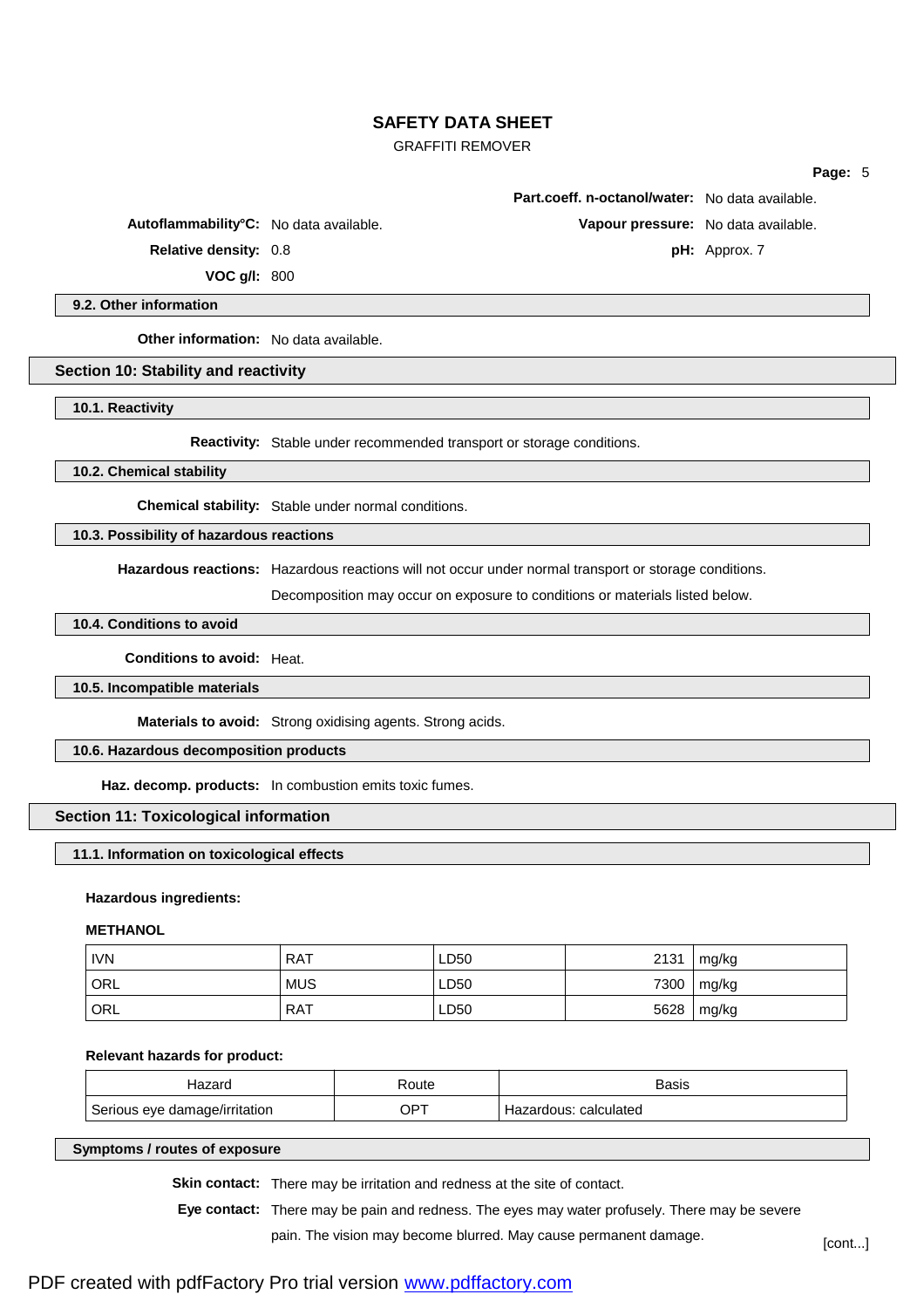## GRAFFITI REMOVER

**Part.coeff. n-octanol/water:** No data available. **Autoflammability°C:** No data available. **Vapour pressure:** No data available.

**Relative density:** 0.8 **pH:** Approx. 7

**VOC g/l:** 800

**9.2. Other information**

**Other information:** No data available.

**Section 10: Stability and reactivity**

**10.1. Reactivity**

**Reactivity:** Stable under recommended transport or storage conditions.

**10.2. Chemical stability**

**Chemical stability:** Stable under normal conditions.

**10.3. Possibility of hazardous reactions**

**Hazardous reactions:** Hazardous reactions will not occur under normal transport or storage conditions.

Decomposition may occur on exposure to conditions or materials listed below.

**10.4. Conditions to avoid**

**Conditions to avoid:** Heat.

**10.5. Incompatible materials**

**Materials to avoid:** Strong oxidising agents. Strong acids.

**10.6. Hazardous decomposition products**

**Haz. decomp. products:** In combustion emits toxic fumes.

## **Section 11: Toxicological information**

#### **11.1. Information on toxicological effects**

#### **Hazardous ingredients:**

**METHANOL**

| <b>IVN</b> | <b>RAT</b> | LD50 | 2131 | mg/kg   |
|------------|------------|------|------|---------|
| ORL        | <b>MUS</b> | LD50 | 7300 | ∣ mg/kg |
| ORL        | <b>RAT</b> | LD50 | 5628 | mg/kg   |

#### **Relevant hazards for product:**

|                                                      | 'oute | Basis                    |
|------------------------------------------------------|-------|--------------------------|
| $\overline{\phantom{a}}$<br>eve<br>nation<br>.<br>Jd | דפו   | calculated<br><b>AND</b> |

#### **Symptoms / routes of exposure**

**Skin contact:** There may be irritation and redness at the site of contact.

**Eye contact:** There may be pain and redness. The eyes may water profusely. There may be severe pain. The vision may become blurred. May cause permanent damage. [cont...]

## **Page:** 5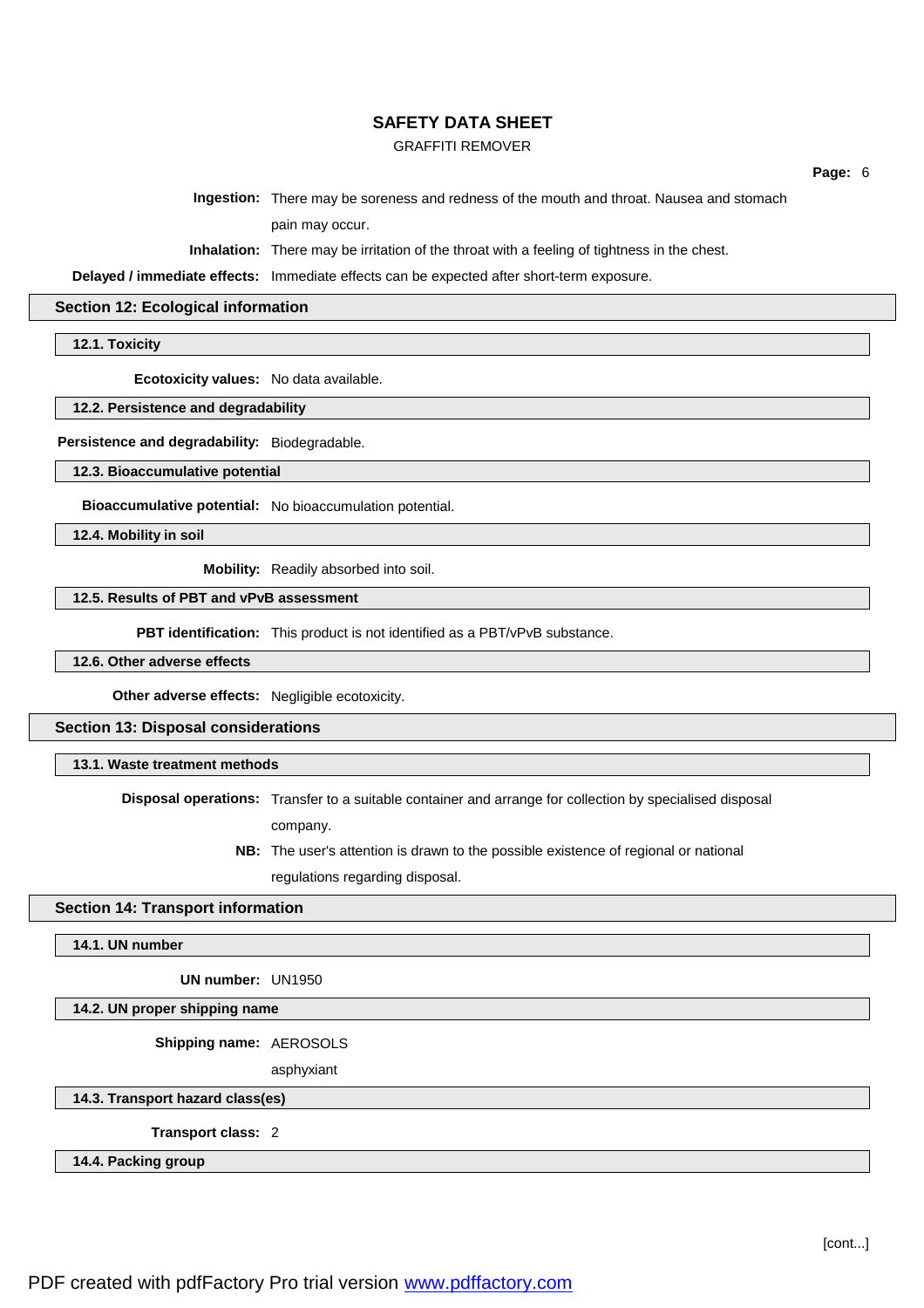## GRAFFITI REMOVER

**Page:** 6

**Ingestion:** There may be soreness and redness of the mouth and throat. Nausea and stomach pain may occur.

**Inhalation:** There may be irritation of the throat with a feeling of tightness in the chest.

**Delayed / immediate effects:** Immediate effects can be expected after short-term exposure.

#### **Section 12: Ecological information**

**12.1. Toxicity**

**Ecotoxicity values:** No data available.

#### **12.2. Persistence and degradability**

**Persistence and degradability:** Biodegradable.

**12.3. Bioaccumulative potential**

**Bioaccumulative potential:** No bioaccumulation potential.

**12.4. Mobility in soil**

**Mobility:** Readily absorbed into soil.

## **12.5. Results of PBT and vPvB assessment**

**PBT identification:** This product is not identified as a PBT/vPvB substance.

#### **12.6. Other adverse effects**

**Other adverse effects:** Negligible ecotoxicity.

#### **Section 13: Disposal considerations**

#### **13.1. Waste treatment methods**

**Disposal operations:** Transfer to a suitable container and arrange for collection by specialised disposal company.

> **NB:** The user's attention is drawn to the possible existence of regional or national regulations regarding disposal.

#### **Section 14: Transport information**

#### **14.1. UN number**

**UN number:** UN1950

## **14.2. UN proper shipping name**

**Shipping name:** AEROSOLS

asphyxiant

#### **14.3. Transport hazard class(es)**

**Transport class:** 2

#### **14.4. Packing group**